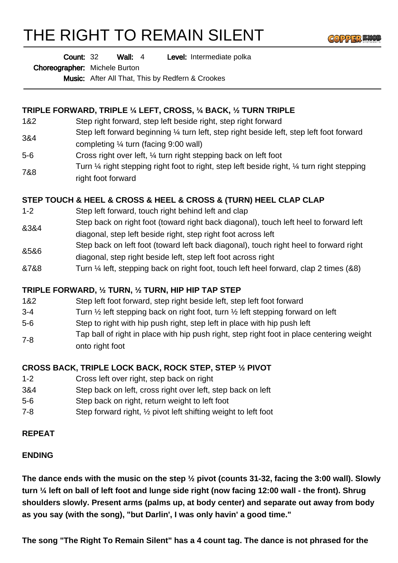# THE RIGHT TO REMAIN SILENT



Wall: 4 Level: Intermediate polka Count: 32

Choreographer: Michele Burton

Music: After All That, This by Redfern & Crookes

## **TRIPLE FORWARD, TRIPLE ¼ LEFT, CROSS, ¼ BACK, ½ TURN TRIPLE**

- 1&2 Step right forward, step left beside right, step right forward
- 3&4 Step left forward beginning 1/4 turn left, step right beside left, step left foot forward completing ¼ turn (facing 9:00 wall)
- 5-6 Cross right over left, ¼ turn right stepping back on left foot
- 7&8 Turn ¼ right stepping right foot to right, step left beside right, ¼ turn right stepping right foot forward

## **STEP TOUCH & HEEL & CROSS & HEEL & CROSS & (TURN) HEEL CLAP CLAP**

- 1-2 Step left forward, touch right behind left and clap
- &3&4 Step back on right foot (toward right back diagonal), touch left heel to forward left diagonal, step left beside right, step right foot across left
- &5&6 Step back on left foot (toward left back diagonal), touch right heel to forward right diagonal, step right beside left, step left foot across right
- &7&8 Turn ¼ left, stepping back on right foot, touch left heel forward, clap 2 times (&8)

## **TRIPLE FORWARD, ½ TURN, ½ TURN, HIP HIP TAP STEP**

- 1&2 Step left foot forward, step right beside left, step left foot forward
- 3-4 Turn ½ left stepping back on right foot, turn ½ left stepping forward on left
- 5-6 Step to right with hip push right, step left in place with hip push left
- 7-8 Tap ball of right in place with hip push right, step right foot in place centering weight onto right foot

#### **CROSS BACK, TRIPLE LOCK BACK, ROCK STEP, STEP ½ PIVOT**

- 1-2 Cross left over right, step back on right
- 3&4 Step back on left, cross right over left, step back on left
- 5-6 Step back on right, return weight to left foot
- 7-8 Step forward right, ½ pivot left shifting weight to left foot

#### **REPEAT**

#### **ENDING**

**The dance ends with the music on the step ½ pivot (counts 31-32, facing the 3:00 wall). Slowly turn ¼ left on ball of left foot and lunge side right (now facing 12:00 wall - the front). Shrug shoulders slowly. Present arms (palms up, at body center) and separate out away from body as you say (with the song), "but Darlin', I was only havin' a good time."**

**The song "The Right To Remain Silent" has a 4 count tag. The dance is not phrased for the**